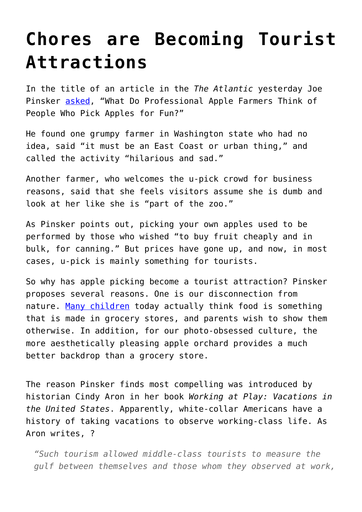## **[Chores are Becoming Tourist](https://intellectualtakeout.org/2015/11/chores-are-becoming-tourist-attractions/) [Attractions](https://intellectualtakeout.org/2015/11/chores-are-becoming-tourist-attractions/)**

In the title of an article in the *The Atlantic* yesterday Joe Pinsker [asked](http://www.theatlantic.com/business/archive/2015/11/what-do-professional-apple-farmers-think-of-people-who-pick-apples-for-fun/414382/), "What Do Professional Apple Farmers Think of People Who Pick Apples for Fun?"

He found one grumpy farmer in Washington state who had no idea, said "it must be an East Coast or urban thing," and called the activity "hilarious and sad."

Another farmer, who welcomes the u-pick crowd for business reasons, said that she feels visitors assume she is dumb and look at her like she is "part of the zoo."

As Pinsker points out, picking your own apples used to be performed by those who wished "to buy fruit cheaply and in bulk, for canning." But prices have gone up, and now, in most cases, u-pick is mainly something for tourists.

So why has apple picking become a tourist attraction? Pinsker proposes several reasons. One is our disconnection from nature. [Many children](http://www.huffingtonpost.com/margarette-purvis/beyond-the-grocery-store-_b_1070259.html) today actually think food is something that is made in grocery stores, and parents wish to show them otherwise. In addition, for our photo-obsessed culture, the more aesthetically pleasing apple orchard provides a much better backdrop than a grocery store.

The reason Pinsker finds most compelling was introduced by historian Cindy Aron in her book *Working at Play: Vacations in the United States*. Apparently, white-collar Americans have a history of taking vacations to observe working-class life. As Aron writes, ?

*"Such tourism allowed middle-class tourists to measure the gulf between themselves and those whom they observed at work,*